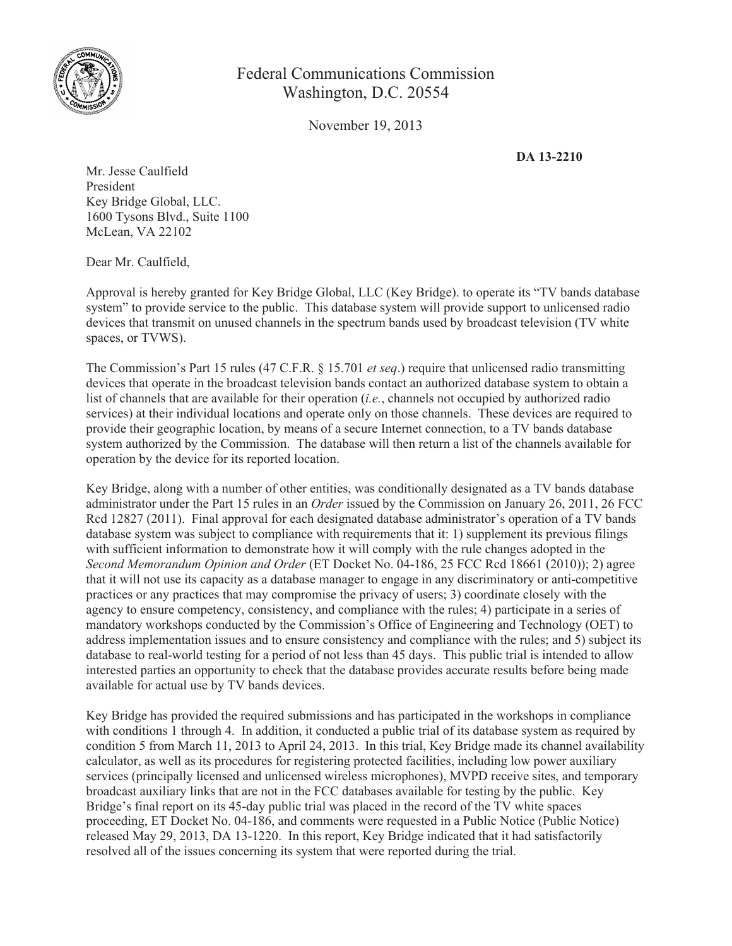

## Federal Communications Commission Washington, D.C. 20554

November 19, 2013

**DA 13-2210**

Mr. Jesse Caulfield President Key Bridge Global, LLC. 1600 Tysons Blvd., Suite 1100 McLean, VA 22102

Dear Mr. Caulfield,

Approval is hereby granted for Key Bridge Global, LLC (Key Bridge). to operate its "TV bands database system" to provide service to the public. This database system will provide support to unlicensed radio devices that transmit on unused channels in the spectrum bands used by broadcast television (TV white spaces, or TVWS).

The Commission's Part 15 rules (47 C.F.R. § 15.701 *et seq*.) require that unlicensed radio transmitting devices that operate in the broadcast television bands contact an authorized database system to obtain a list of channels that are available for their operation (*i.e.*, channels not occupied by authorized radio services) at their individual locations and operate only on those channels. These devices are required to provide their geographic location, by means of a secure Internet connection, to a TV bands database system authorized by the Commission. The database will then return a list of the channels available for operation by the device for its reported location.

Key Bridge, along with a number of other entities, was conditionally designated as a TV bands database administrator under the Part 15 rules in an *Order* issued by the Commission on January 26, 2011, 26 FCC Rcd 12827 (2011). Final approval for each designated database administrator's operation of a TV bands database system was subject to compliance with requirements that it: 1) supplement its previous filings with sufficient information to demonstrate how it will comply with the rule changes adopted in the *Second Memorandum Opinion and Order* (ET Docket No. 04-186, 25 FCC Rcd 18661 (2010)); 2) agree that it will not use its capacity as a database manager to engage in any discriminatory or anti-competitive practices or any practices that may compromise the privacy of users; 3) coordinate closely with the agency to ensure competency, consistency, and compliance with the rules; 4) participate in a series of mandatory workshops conducted by the Commission's Office of Engineering and Technology (OET) to address implementation issues and to ensure consistency and compliance with the rules; and 5) subject its database to real-world testing for a period of not less than 45 days. This public trial is intended to allow interested parties an opportunity to check that the database provides accurate results before being made available for actual use by TV bands devices.

Key Bridge has provided the required submissions and has participated in the workshops in compliance with conditions 1 through 4. In addition, it conducted a public trial of its database system as required by condition 5 from March 11, 2013 to April 24, 2013. In this trial, Key Bridge made its channel availability calculator, as well as its procedures for registering protected facilities, including low power auxiliary services (principally licensed and unlicensed wireless microphones), MVPD receive sites, and temporary broadcast auxiliary links that are not in the FCC databases available for testing by the public. Key Bridge's final report on its 45-day public trial was placed in the record of the TV white spaces proceeding, ET Docket No. 04-186, and comments were requested in a Public Notice (Public Notice) released May 29, 2013, DA 13-1220. In this report, Key Bridge indicated that it had satisfactorily resolved all of the issues concerning its system that were reported during the trial.